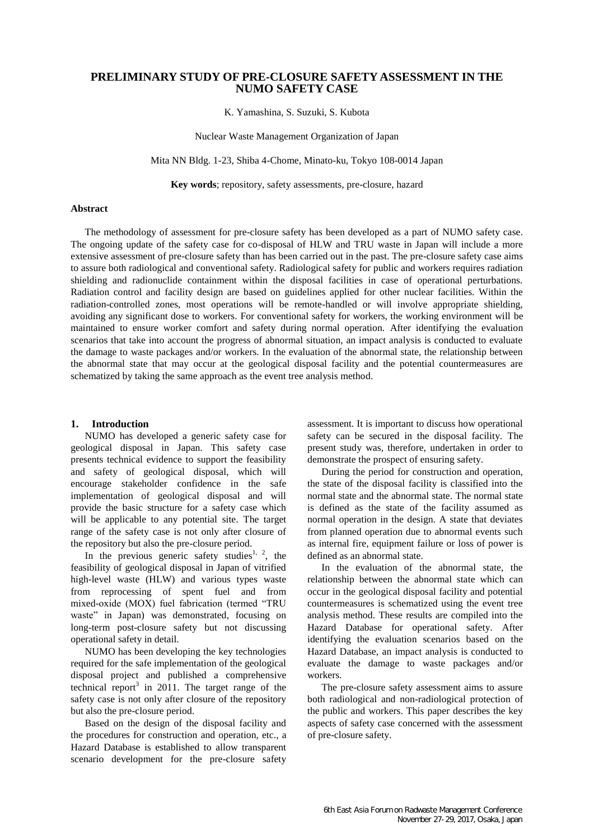# **PRELIMINARY STUDY OF PRE-CLOSURE SAFETY ASSESSMENT IN THE NUMO SAFETY CASE**

K. Yamashina, S. Suzuki, S. Kubota

Nuclear Waste Management Organization of Japan

Mita NN Bldg. 1-23, Shiba 4-Chome, Minato-ku, Tokyo 108-0014 Japan

**Key words**; repository, safety assessments, pre-closure, hazard

## **Abstract**

The methodology of assessment for pre-closure safety has been developed as a part of NUMO safety case. The ongoing update of the safety case for co-disposal of HLW and TRU waste in Japan will include a more extensive assessment of pre-closure safety than has been carried out in the past. The pre-closure safety case aims to assure both radiological and conventional safety. Radiological safety for public and workers requires radiation shielding and radionuclide containment within the disposal facilities in case of operational perturbations. Radiation control and facility design are based on guidelines applied for other nuclear facilities. Within the radiation-controlled zones, most operations will be remote-handled or will involve appropriate shielding, avoiding any significant dose to workers. For conventional safety for workers, the working environment will be maintained to ensure worker comfort and safety during normal operation. After identifying the evaluation scenarios that take into account the progress of abnormal situation, an impact analysis is conducted to evaluate the damage to waste packages and/or workers. In the evaluation of the abnormal state, the relationship between the abnormal state that may occur at the geological disposal facility and the potential countermeasures are schematized by taking the same approach as the event tree analysis method.

### **1. Introduction**

NUMO has developed a generic safety case for geological disposal in Japan. This safety case presents technical evidence to support the feasibility and safety of geological disposal, which will encourage stakeholder confidence in the safe implementation of geological disposal and will provide the basic structure for a safety case which will be applicable to any potential site. The target range of the safety case is not only after closure of the repository but also the pre-closure period.

In the previous generic safety studies<sup>1, 2</sup>, the feasibility of geological disposal in Japan of vitrified high-level waste (HLW) and various types waste from reprocessing of spent fuel and from mixed-oxide (MOX) fuel fabrication (termed "TRU waste" in Japan) was demonstrated, focusing on long-term post-closure safety but not discussing operational safety in detail.

NUMO has been developing the key technologies required for the safe implementation of the geological disposal project and published a comprehensive technical report<sup>3</sup> in 2011. The target range of the safety case is not only after closure of the repository but also the pre-closure period.

Based on the design of the disposal facility and the procedures for construction and operation, etc., a Hazard Database is established to allow transparent scenario development for the pre-closure safety assessment. It is important to discuss how operational safety can be secured in the disposal facility. The present study was, therefore, undertaken in order to demonstrate the prospect of ensuring safety.

During the period for construction and operation, the state of the disposal facility is classified into the normal state and the abnormal state. The normal state is defined as the state of the facility assumed as normal operation in the design. A state that deviates from planned operation due to abnormal events such as internal fire, equipment failure or loss of power is defined as an abnormal state.

In the evaluation of the abnormal state, the relationship between the abnormal state which can occur in the geological disposal facility and potential countermeasures is schematized using the event tree analysis method. These results are compiled into the Hazard Database for operational safety. After identifying the evaluation scenarios based on the Hazard Database, an impact analysis is conducted to evaluate the damage to waste packages and/or workers.

The pre-closure safety assessment aims to assure both radiological and non-radiological protection of the public and workers. This paper describes the key aspects of safety case concerned with the assessment of pre-closure safety.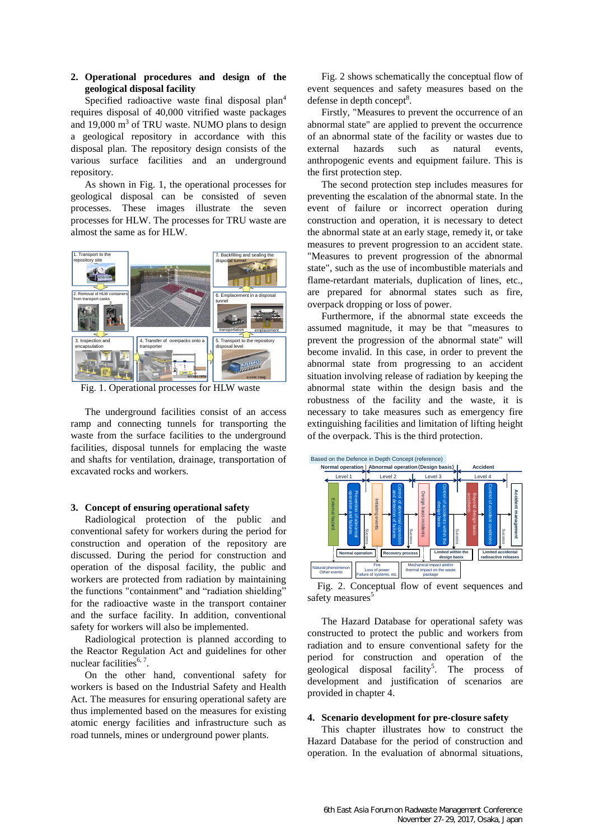# **2. Operational procedures and design of the geological disposal facility**

Specified radioactive waste final disposal plan<sup>4</sup> requires disposal of 40,000 vitrified waste packages and  $19,000 \text{ m}^3$  of TRU waste. NUMO plans to design a geological repository in accordance with this disposal plan. The repository design consists of the various surface facilities and an underground repository.

As shown in [Fig. 1,](#page-1-0) the operational processes for geological disposal can be consisted of seven processes. These images illustrate the seven processes for HLW. The processes for TRU waste are almost the same as for HLW.



<span id="page-1-0"></span>Fig. 1. Operational processes for HLW waste

The underground facilities consist of an access ramp and connecting tunnels for transporting the waste from the surface facilities to the underground facilities, disposal tunnels for emplacing the waste and shafts for ventilation, drainage, transportation of excavated rocks and workers.

## **3. Concept of ensuring operational safety**

Radiological protection of the public and conventional safety for workers during the period for construction and operation of the repository are discussed. During the period for construction and operation of the disposal facility, the public and workers are protected from radiation by maintaining the functions "containment" and "radiation shielding" for the radioactive waste in the transport container and the surface facility. In addition, conventional safety for workers will also be implemented.

Radiological protection is planned according to the Reactor Regulation Act and guidelines for other nuclear facilities $6, 7$ .

On the other hand, conventional safety for workers is based on the Industrial Safety and Health Act. The measures for ensuring operational safety are thus implemented based on the measures for existing atomic energy facilities and infrastructure such as road tunnels, mines or underground power plants.

[Fig. 2](#page-1-1) shows schematically the conceptual flow of event sequences and safety measures based on the defense in depth concept<sup>8</sup>.

Firstly, "Measures to prevent the occurrence of an abnormal state" are applied to prevent the occurrence of an abnormal state of the facility or wastes due to external hazards such as natural events, anthropogenic events and equipment failure. This is the first protection step.

The second protection step includes measures for preventing the escalation of the abnormal state. In the event of failure or incorrect operation during construction and operation, it is necessary to detect the abnormal state at an early stage, remedy it, or take measures to prevent progression to an accident state. "Measures to prevent progression of the abnormal state", such as the use of incombustible materials and flame-retardant materials, duplication of lines, etc., are prepared for abnormal states such as fire, overpack dropping or loss of power.

Furthermore, if the abnormal state exceeds the assumed magnitude, it may be that "measures to prevent the progression of the abnormal state" will become invalid. In this case, in order to prevent the abnormal state from progressing to an accident situation involving release of radiation by keeping the abnormal state within the design basis and the robustness of the facility and the waste, it is necessary to take measures such as emergency fire extinguishing facilities and limitation of lifting height of the overpack. This is the third protection.



<span id="page-1-1"></span>Fig. 2. Conceptual flow of event sequences and safety measures<sup>5</sup>

The Hazard Database for operational safety was constructed to protect the public and workers from radiation and to ensure conventional safety for the period for construction and operation of the geological disposal facility<sup>5</sup>. . The process of development and justification of scenarios are provided in chapter 4.

### **4. Scenario development for pre-closure safety**

This chapter illustrates how to construct the Hazard Database for the period of construction and operation. In the evaluation of abnormal situations,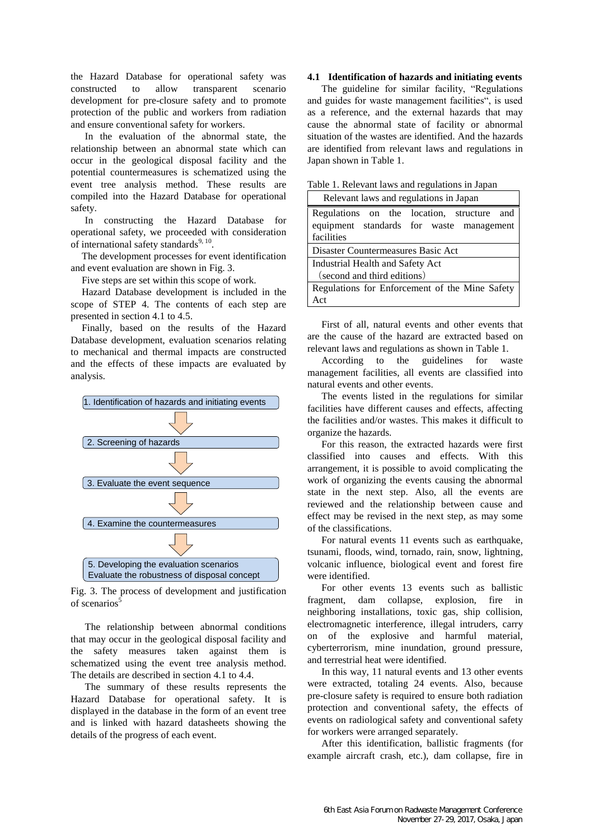the Hazard Database for operational safety was constructed to allow transparent scenario development for pre-closure safety and to promote protection of the public and workers from radiation and ensure conventional safety for workers.

In the evaluation of the abnormal state, the relationship between an abnormal state which can occur in the geological disposal facility and the potential countermeasures is schematized using the event tree analysis method. These results are compiled into the Hazard Database for operational safety.

In constructing the Hazard Database for operational safety, we proceeded with consideration of international safety standards<sup>9, 10</sup>.

The development processes for event identification and event evaluation are shown in [Fig. 3.](#page-2-0)

Five steps are set within this scope of work.

Hazard Database development is included in the scope of STEP 4. The contents of each step are presented in section [4.1 t](#page-2-1)o [4.5.](#page-4-0)

Finally, based on the results of the Hazard Database development, evaluation scenarios relating to mechanical and thermal impacts are constructed and the effects of these impacts are evaluated by analysis.



<span id="page-2-0"></span>Fig. 3. The process of development and justification of scenarios<sup>5</sup>

The relationship between abnormal conditions that may occur in the geological disposal facility and the safety measures taken against them is schematized using the event tree analysis method. The details are described in section [4.1](#page-2-1) t[o 4.4.](#page-4-1)

The summary of these results represents the Hazard Database for operational safety. It is displayed in the database in the form of an event tree and is linked with hazard datasheets showing the details of the progress of each event.

#### <span id="page-2-1"></span>**4.1 Identification of hazards and initiating events**

The guideline for similar facility, "Regulations and guides for waste management facilities", is used as a reference, and the external hazards that may cause the abnormal state of facility or abnormal situation of the wastes are identified. And the hazards are identified from relevant laws and regulations in Japan shown in [Table 1.](#page-2-2)

| Relevant laws and regulations in Japan                                                 |
|----------------------------------------------------------------------------------------|
| Regulations on the location, structure and<br>equipment standards for waste management |
| facilities                                                                             |
| Disaster Countermeasures Basic Act                                                     |
| Industrial Health and Safety Act                                                       |
| (second and third editions)                                                            |
| Regulations for Enforcement of the Mine Safety                                         |
| Act                                                                                    |

<span id="page-2-2"></span>Table 1. Relevant laws and regulations in Japan

First of all, natural events and other events that are the cause of the hazard are extracted based on relevant laws and regulations as shown in [Table 1.](#page-2-2)

According to the guidelines for waste management facilities, all events are classified into natural events and other events.

The events listed in the regulations for similar facilities have different causes and effects, affecting the facilities and/or wastes. This makes it difficult to organize the hazards.

For this reason, the extracted hazards were first classified into causes and effects. With this arrangement, it is possible to avoid complicating the work of organizing the events causing the abnormal state in the next step. Also, all the events are reviewed and the relationship between cause and effect may be revised in the next step, as may some of the classifications.

For natural events 11 events such as earthquake, tsunami, floods, wind, tornado, rain, snow, lightning, volcanic influence, biological event and forest fire were identified.

For other events 13 events such as ballistic fragment, dam collapse, explosion, fire in neighboring installations, toxic gas, ship collision, electromagnetic interference, illegal intruders, carry on of the explosive and harmful material, cyberterrorism, mine inundation, ground pressure, and terrestrial heat were identified.

In this way, 11 natural events and 13 other events were extracted, totaling 24 events. Also, because pre-closure safety is required to ensure both radiation protection and conventional safety, the effects of events on radiological safety and conventional safety for workers were arranged separately.

After this identification, ballistic fragments (for example aircraft crash, etc.), dam collapse, fire in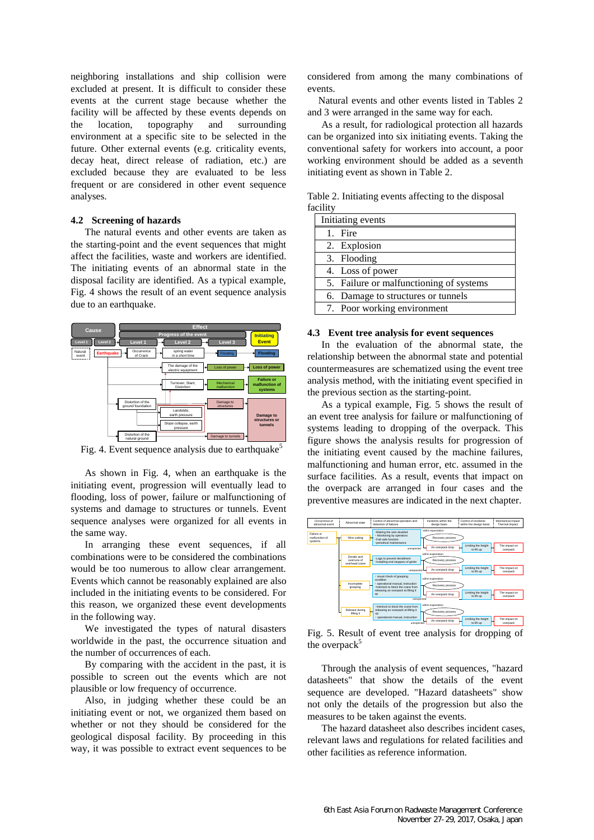neighboring installations and ship collision were excluded at present. It is difficult to consider these events at the current stage because whether the facility will be affected by these events depends on the location, topography and surrounding environment at a specific site to be selected in the future. Other external events (e.g. criticality events, decay heat, direct release of radiation, etc.) are excluded because they are evaluated to be less frequent or are considered in other event sequence analyses.

#### **4.2 Screening of hazards**

The natural events and other events are taken as the starting-point and the event sequences that might affect the facilities, waste and workers are identified. The initiating events of an abnormal state in the disposal facility are identified. As a typical example, [Fig. 4](#page-3-0) shows the result of an event sequence analysis due to an earthquake.



<span id="page-3-0"></span>Fig. 4. Event sequence analysis due to earthquake<sup>5</sup>

As shown in [Fig. 4,](#page-3-0) when an earthquake is the initiating event, progression will eventually lead to flooding, loss of power, failure or malfunctioning of systems and damage to structures or tunnels. Event sequence analyses were organized for all events in the same way.

In arranging these event sequences, if all combinations were to be considered the combinations would be too numerous to allow clear arrangement. Events which cannot be reasonably explained are also included in the initiating events to be considered. For this reason, we organized these event developments in the following way.

We investigated the types of natural disasters worldwide in the past, the occurrence situation and the number of occurrences of each.

By comparing with the accident in the past, it is possible to screen out the events which are not plausible or low frequency of occurrence.

Also, in judging whether these could be an initiating event or not, we organized them based on whether or not they should be considered for the geological disposal facility. By proceeding in this way, it was possible to extract event sequences to be considered from among the many combinations of events.

Natural events and other events listed in Tables 2 and 3 were arranged in the same way for each.

As a result, for radiological protection all hazards can be organized into six initiating events. Taking the conventional safety for workers into account, a poor working environment should be added as a seventh initiating event as shown i[n Table 2.](#page-3-1)

<span id="page-3-1"></span>Table 2. Initiating events affecting to the disposal facility

| Initiating events                       |  |
|-----------------------------------------|--|
| 1. Fire                                 |  |
| 2. Explosion                            |  |
| 3. Flooding                             |  |
| 4. Loss of power                        |  |
| 5. Failure or malfunctioning of systems |  |
| 6. Damage to structures or tunnels      |  |
| 7. Poor working environment             |  |

#### **4.3 Event tree analysis for event sequences**

In the evaluation of the abnormal state, the relationship between the abnormal state and potential countermeasures are schematized using the event tree analysis method, with the initiating event specified in the previous section as the starting-point.

As a typical example, [Fig. 5](#page-3-2) shows the result of an event tree analysis for failure or malfunctioning of systems leading to dropping of the overpack. This figure shows the analysis results for progression of the initiating event caused by the machine failures, malfunctioning and human error, etc. assumed in the surface facilities. As a result, events that impact on the overpack are arranged in four cases and the preventive measures are indicated in the next chapter.



<span id="page-3-2"></span>Fig. 5. Result of event tree analysis for dropping of the overpack<sup>5</sup>

Through the analysis of event sequences, "hazard datasheets" that show the details of the event sequence are developed. "Hazard datasheets" show not only the details of the progression but also the measures to be taken against the events.

The hazard datasheet also describes incident cases, relevant laws and regulations for related facilities and other facilities as reference information.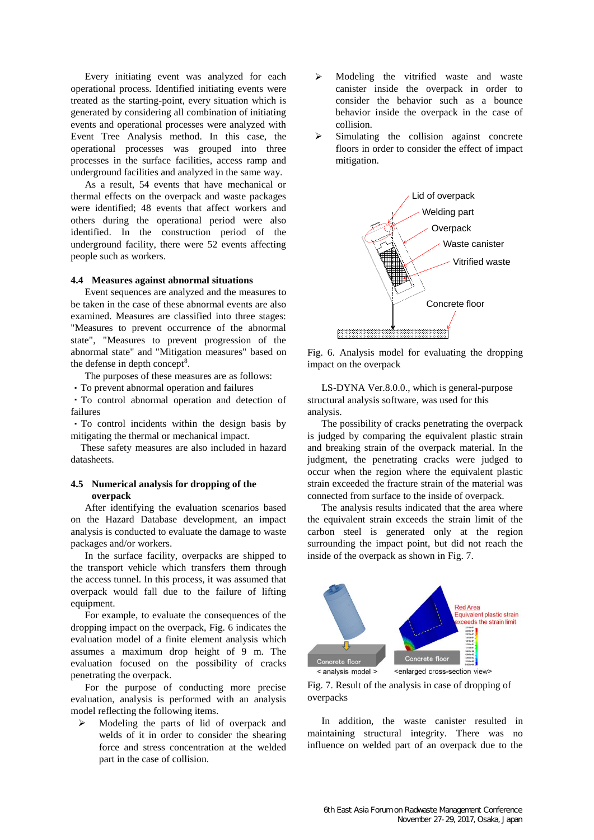Every initiating event was analyzed for each operational process. Identified initiating events were treated as the starting-point, every situation which is generated by considering all combination of initiating events and operational processes were analyzed with Event Tree Analysis method. In this case, the operational processes was grouped into three processes in the surface facilities, access ramp and underground facilities and analyzed in the same way.

As a result, 54 events that have mechanical or thermal effects on the overpack and waste packages were identified; 48 events that affect workers and others during the operational period were also identified. In the construction period of the underground facility, there were 52 events affecting people such as workers.

### <span id="page-4-1"></span>**4.4 Measures against abnormal situations**

Event sequences are analyzed and the measures to be taken in the case of these abnormal events are also examined. Measures are classified into three stages: "Measures to prevent occurrence of the abnormal state", "Measures to prevent progression of the abnormal state" and "Mitigation measures" based on the defense in depth concept $8$ .

The purposes of these measures are as follows:

・To prevent abnormal operation and failures

・To control abnormal operation and detection of failures

・To control incidents within the design basis by mitigating the thermal or mechanical impact.

These safety measures are also included in hazard datasheets.

## <span id="page-4-0"></span>**4.5 Numerical analysis for dropping of the overpack**

After identifying the evaluation scenarios based on the Hazard Database development, an impact analysis is conducted to evaluate the damage to waste packages and/or workers.

In the surface facility, overpacks are shipped to the transport vehicle which transfers them through the access tunnel. In this process, it was assumed that overpack would fall due to the failure of lifting equipment.

For example, to evaluate the consequences of the dropping impact on the overpack, [Fig. 6](#page-4-2) indicates the evaluation model of a finite element analysis which assumes a maximum drop height of 9 m. The evaluation focused on the possibility of cracks penetrating the overpack.

For the purpose of conducting more precise evaluation, analysis is performed with an analysis model reflecting the following items.

 $\triangleright$  Modeling the parts of lid of overpack and welds of it in order to consider the shearing force and stress concentration at the welded part in the case of collision.

- Modeling the vitrified waste and waste canister inside the overpack in order to consider the behavior such as a bounce behavior inside the overpack in the case of collision.
- Simulating the collision against concrete floors in order to consider the effect of impact mitigation.



<span id="page-4-2"></span>Fig. 6. Analysis model for evaluating the dropping impact on the overpack

LS-DYNA Ver.8.0.0., which is general-purpose structural analysis software, was used for this analysis.

The possibility of cracks penetrating the overpack is judged by comparing the equivalent plastic strain and breaking strain of the overpack material. In the judgment, the penetrating cracks were judged to occur when the region where the equivalent plastic strain exceeded the fracture strain of the material was connected from surface to the inside of overpack.

The analysis results indicated that the area where the equivalent strain exceeds the strain limit of the carbon steel is generated only at the region surrounding the impact point, but did not reach the inside of the overpack as shown in [Fig. 7.](#page-4-3) 



<span id="page-4-3"></span>Fig. 7. Result of the analysis in case of dropping of overpacks

In addition, the waste canister resulted in maintaining structural integrity. There was no influence on welded part of an overpack due to the